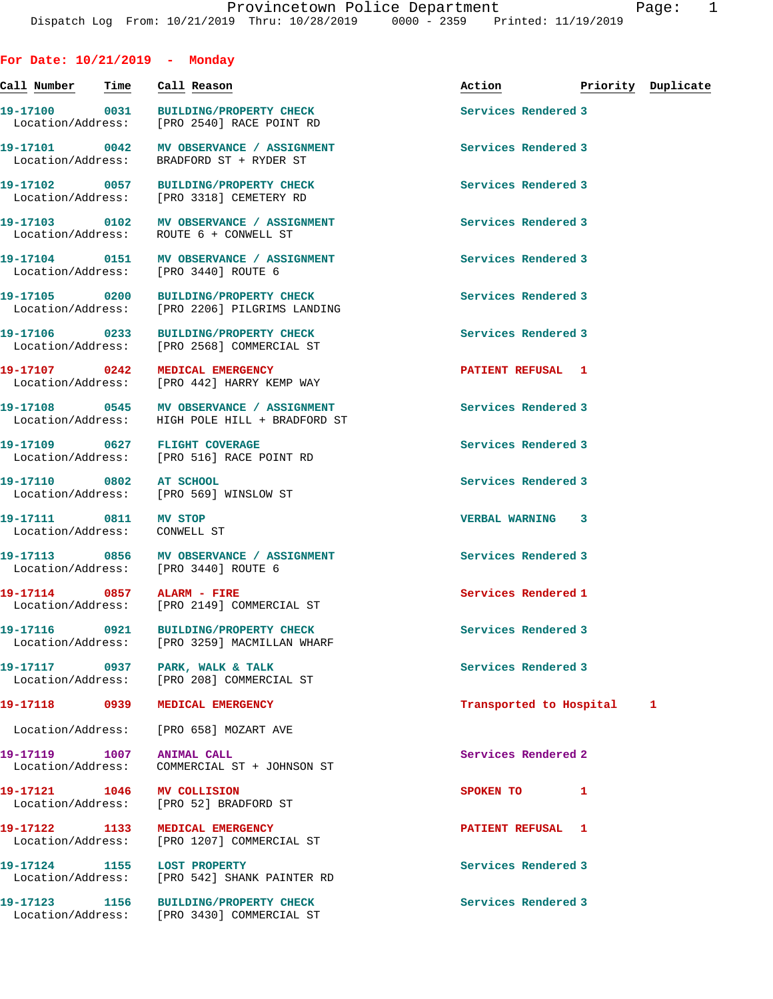**For Date: 10/21/2019 - Monday**

**Call Number Time Call Reason Action Priority Duplicate 19-17100 0031 BUILDING/PROPERTY CHECK Services Rendered 3**  Location/Address: [PRO 2540] RACE POINT RD **19-17101 0042 MV OBSERVANCE / ASSIGNMENT Services Rendered 3**  Location/Address: BRADFORD ST + RYDER ST **19-17102 0057 BUILDING/PROPERTY CHECK Services Rendered 3**  Location/Address: [PRO 3318] CEMETERY RD **19-17103 0102 MV OBSERVANCE / ASSIGNMENT Services Rendered 3**  Location/Address: ROUTE 6 + CONWELL ST 19-17104 **0151** MV OBSERVANCE / ASSIGNMENT **Services Rendered 3**  Location/Address: [PRO 3440] ROUTE 6 **19-17105 0200 BUILDING/PROPERTY CHECK Services Rendered 3**  Location/Address: [PRO 2206] PILGRIMS LANDING **19-17106 0233 BUILDING/PROPERTY CHECK Services Rendered 3**  Location/Address: [PRO 2568] COMMERCIAL ST **19-17107 0242 MEDICAL EMERGENCY PATIENT REFUSAL 1**  Location/Address: [PRO 442] HARRY KEMP WAY 19-17108 **0545** MV OBSERVANCE / ASSIGNMENT Services Rendered 3 Location/Address: HIGH POLE HILL + BRADFORD ST **19-17109 0627 FLIGHT COVERAGE Services Rendered 3**  Location/Address: [PRO 516] RACE POINT RD **19-17110 0802 AT SCHOOL Services Rendered 3**  Location/Address: [PRO 569] WINSLOW ST **19-17111 0811 MV STOP VERBAL WARNING 3**  Location/Address: CONWELL ST **19-17113 0856 MV OBSERVANCE / ASSIGNMENT Services Rendered 3**  Location/Address: [PRO 3440] ROUTE 6 **19-17114** 0857 ALARM - FIRE Services Rendered 1 Location/Address: [PRO 2149] COMMERCIAL ST **19-17116 0921 BUILDING/PROPERTY CHECK Services Rendered 3**  Location/Address: [PRO 3259] MACMILLAN WHARF 19-17117 0937 PARK, WALK & TALK **Services Rendered 3**  Location/Address: [PRO 208] COMMERCIAL ST **19-17118 0939 MEDICAL EMERGENCY Transported to Hospital 1** Location/Address: [PRO 658] MOZART AVE **19-17119 1007 ANIMAL CALL Services Rendered 2**  Location/Address: COMMERCIAL ST + JOHNSON ST **19-17121 1046 MV COLLISION SPOKEN TO 1**  Location/Address: [PRO 52] BRADFORD ST **19-17122 1133 MEDICAL EMERGENCY PATIENT REFUSAL 1**  Location/Address: [PRO 1207] COMMERCIAL ST 19-17124 1155 LOST PROPERTY **19-17124** Services Rendered 3 Location/Address: [PRO 542] SHANK PAINTER RD **19-17123 1156 BUILDING/PROPERTY CHECK Services Rendered 3**  Location/Address: [PRO 3430] COMMERCIAL ST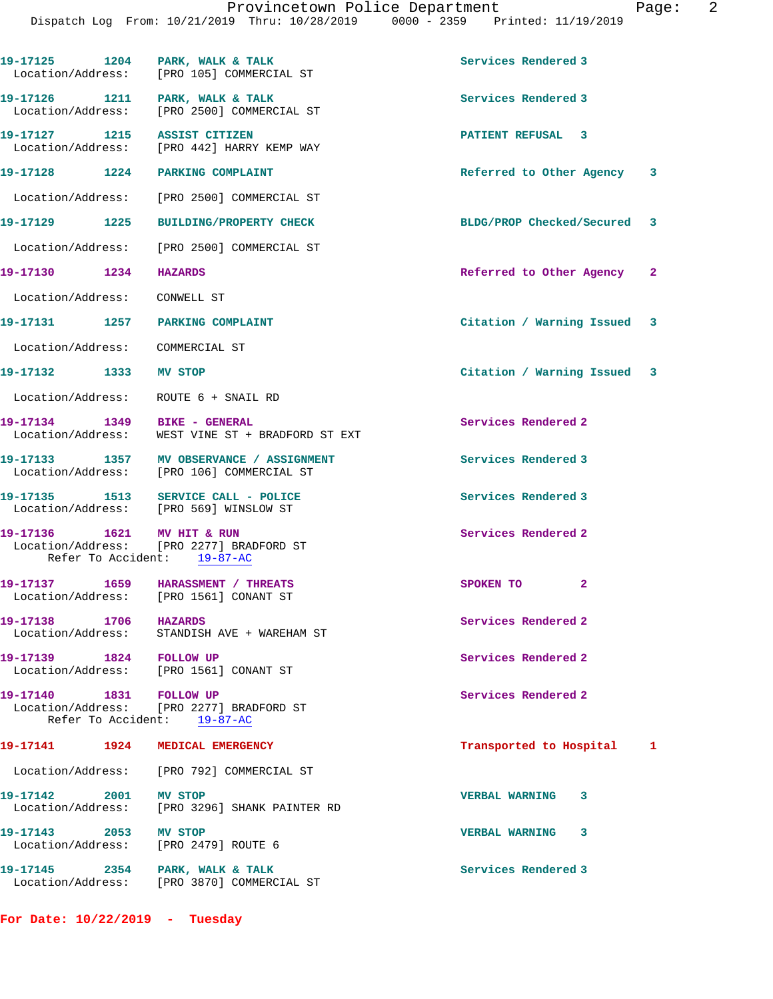**19-17128 1224 PARKING COMPLAINT Referred to Other Agency 3**

Location/Address: [PRO 2500] COMMERCIAL ST

**19-17129 1225 BUILDING/PROPERTY CHECK BLDG/PROP Checked/Secured 3**

Location/Address: [PRO 2500] COMMERCIAL ST

**19-17130 1234 HAZARDS Referred to Other Agency 2**

Location/Address: CONWELL ST

**19-17131 1257 PARKING COMPLAINT Citation / Warning Issued 3**

Location/Address: COMMERCIAL ST

**19-17132 1333 MV STOP Citation / Warning Issued 3**

Location/Address: ROUTE 6 + SNAIL RD

**19-17134 1349 BIKE - GENERAL Services Rendered 2**  Location/Address: WEST VINE ST + BRADFORD ST EXT

19-17133 1357 MV OBSERVANCE / ASSIGNMENT **Services Rendered 3** Location/Address: [PRO 106] COMMERCIAL ST

**19-17135 1513 SERVICE CALL - POLICE Services Rendered 3**  Location/Address: [PRO 569] WINSLOW ST

19-17136 1621 MV HIT & RUN Services Rendered 2 Location/Address: [PRO 2277] BRADFORD ST Refer To Accident: 19-87-AC

**19-17137 1659 HARASSMENT / THREATS SPOKEN TO 2**  Location/Address: [PRO 1561] CONANT ST

**19-17138** 1706 HAZARDS 19-17138 **HAZARDS** 19-17138 **Services** Rendered 2 Location/Address: STANDISH AVE + WAREHAM ST

19-17139 1824 FOLLOW UP **Services Rendered 2** Location/Address: [PRO 1561] CONANT ST

19-17140 1831 FOLLOW UP **Services Rendered 2**  Location/Address: [PRO 2277] BRADFORD ST Refer To Accident: 19-87-AC

## **19-17141 1924 MEDICAL EMERGENCY Transported to Hospital 1**

 Location/Address: [PRO 792] COMMERCIAL ST **19-17142 2001 MV STOP VERBAL WARNING 3**  Location/Address: [PRO 3296] SHANK PAINTER RD **19-17143 2053 MV STOP VERBAL WARNING 3** 

Location/Address: [PRO 2479] ROUTE 6

19-17145 2354 PARK, WALK & TALK **Services Rendered 3** Location/Address: [PRO 3870] COMMERCIAL ST

**For Date: 10/22/2019 - Tuesday**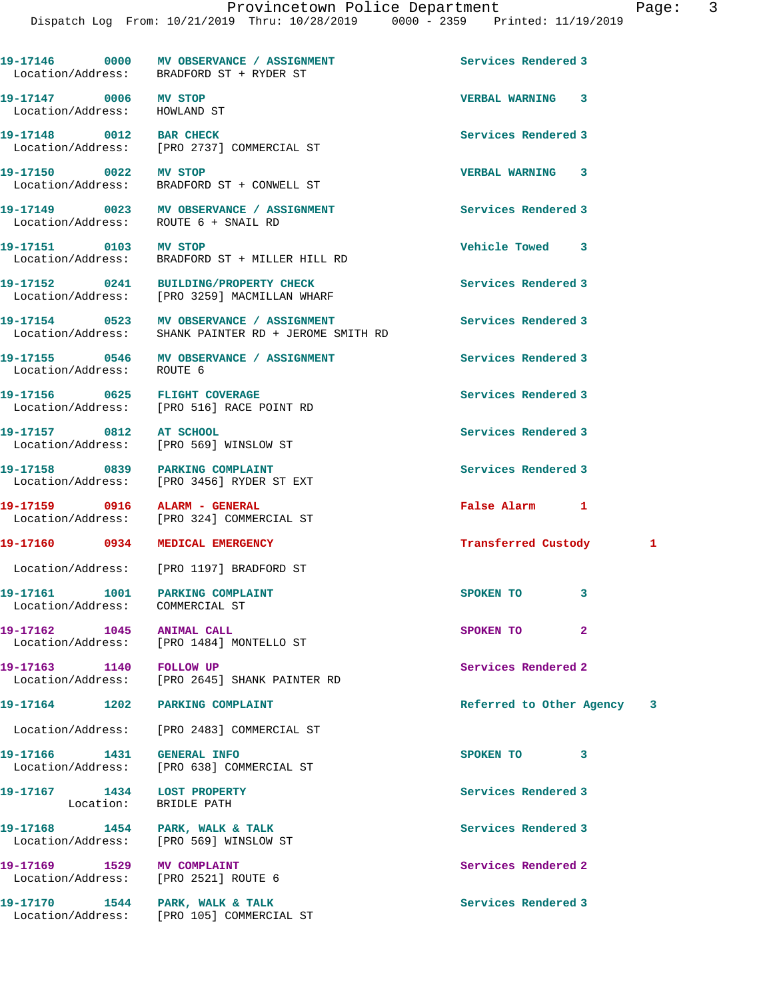|                                                                    | 19-17146 0000 MV OBSERVANCE / ASSIGNMENT<br>Location/Address: BRADFORD ST + RYDER ST             | Services Rendered 3        |   |
|--------------------------------------------------------------------|--------------------------------------------------------------------------------------------------|----------------------------|---|
| 19-17147 0006 MV STOP<br>Location/Address: HOWLAND ST              |                                                                                                  | <b>VERBAL WARNING 3</b>    |   |
| 19-17148 0012 BAR CHECK                                            | Location/Address: [PRO 2737] COMMERCIAL ST                                                       | Services Rendered 3        |   |
| 19-17150 0022 MV STOP                                              | Location/Address: BRADFORD ST + CONWELL ST                                                       | VERBAL WARNING 3           |   |
|                                                                    | 19-17149 0023 MV OBSERVANCE / ASSIGNMENT<br>Location/Address: ROUTE 6 + SNAIL RD                 | Services Rendered 3        |   |
|                                                                    | 19-17151 0103 MV STOP<br>Location/Address: BRADFORD ST + MILLER HILL RD                          | Vehicle Towed 3            |   |
|                                                                    |                                                                                                  | Services Rendered 3        |   |
|                                                                    | 19-17154 0523 MV OBSERVANCE / ASSIGNMENT<br>Location/Address: SHANK PAINTER RD + JEROME SMITH RD | Services Rendered 3        |   |
| Location/Address: ROUTE 6                                          | 19-17155 0546 MV OBSERVANCE / ASSIGNMENT                                                         | Services Rendered 3        |   |
| 19-17156 0625 FLIGHT COVERAGE                                      | Location/Address: [PRO 516] RACE POINT RD                                                        | Services Rendered 3        |   |
| 19-17157 0812 AT SCHOOL                                            | Location/Address: [PRO 569] WINSLOW ST                                                           | Services Rendered 3        |   |
| 19-17158 0839 PARKING COMPLAINT                                    | Location/Address: [PRO 3456] RYDER ST EXT                                                        | Services Rendered 3        |   |
| 19-17159 0916 ALARM - GENERAL                                      | Location/Address: [PRO 324] COMMERCIAL ST                                                        | False Alarm 1              |   |
| 19-17160 0934 MEDICAL EMERGENCY                                    |                                                                                                  | <b>Transferred Custody</b> | 1 |
|                                                                    | Location/Address: [PRO 1197] BRADFORD ST                                                         |                            |   |
| 19-17161 1001 PARKING COMPLAINT<br>Location/Address: COMMERCIAL ST |                                                                                                  | SPOKEN TO<br>3             |   |
|                                                                    | Location/Address: [PRO 1484] MONTELLO ST                                                         | SPOKEN TO<br>$\mathbf{2}$  |   |
| 19-17163 1140 FOLLOW UP                                            | Location/Address: [PRO 2645] SHANK PAINTER RD                                                    | Services Rendered 2        |   |
| 19-17164 1202 PARKING COMPLAINT                                    |                                                                                                  | Referred to Other Agency 3 |   |
|                                                                    | Location/Address: [PRO 2483] COMMERCIAL ST                                                       |                            |   |
| 19-17166 1431 GENERAL INFO                                         | Location/Address: [PRO 638] COMMERCIAL ST                                                        | SPOKEN TO<br>3             |   |
| 19-17167 1434 LOST PROPERTY                                        | Location: BRIDLE PATH                                                                            | Services Rendered 3        |   |
|                                                                    | 19-17168 1454 PARK, WALK & TALK<br>Location/Address: [PRO 569] WINSLOW ST                        | Services Rendered 3        |   |
| 19-17169 1529 MV COMPLAINT<br>Location/Address: [PRO 2521] ROUTE 6 |                                                                                                  | Services Rendered 2        |   |
|                                                                    | Location/Address: [PRO 105] COMMERCIAL ST                                                        | Services Rendered 3        |   |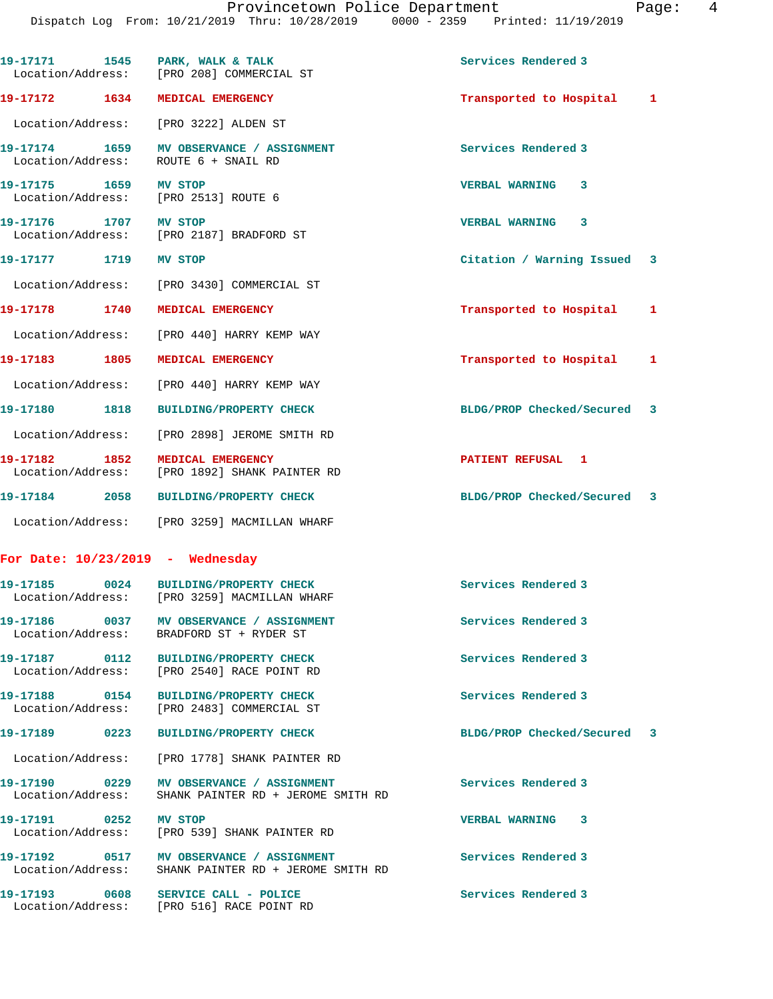|                       | 19-17171 1545 PARK, WALK & TALK<br>Location/Address: [PRO 208] COMMERCIAL ST                     | Services Rendered 3         |   |
|-----------------------|--------------------------------------------------------------------------------------------------|-----------------------------|---|
|                       | 19-17172 1634 MEDICAL EMERGENCY                                                                  | Transported to Hospital 1   |   |
|                       | Location/Address: [PRO 3222] ALDEN ST                                                            |                             |   |
|                       | 19-17174 1659 MV OBSERVANCE / ASSIGNMENT<br>Location/Address: ROUTE 6 + SNAIL RD                 | Services Rendered 3         |   |
| 19-17175 1659 MV STOP | Location/Address: [PRO 2513] ROUTE 6                                                             | VERBAL WARNING 3            |   |
| 19-17176 1707 MV STOP | Location/Address: [PRO 2187] BRADFORD ST                                                         | VERBAL WARNING 3            |   |
| 19-17177 1719 MV STOP |                                                                                                  | Citation / Warning Issued 3 |   |
|                       | Location/Address: [PRO 3430] COMMERCIAL ST                                                       |                             |   |
|                       | 19-17178 1740 MEDICAL EMERGENCY                                                                  | Transported to Hospital     | 1 |
|                       | Location/Address: [PRO 440] HARRY KEMP WAY                                                       |                             |   |
| 19-17183 1805         | MEDICAL EMERGENCY                                                                                | Transported to Hospital     | 1 |
|                       | Location/Address: [PRO 440] HARRY KEMP WAY                                                       |                             |   |
|                       | 19-17180 1818 BUILDING/PROPERTY CHECK                                                            | BLDG/PROP Checked/Secured 3 |   |
|                       | Location/Address: [PRO 2898] JEROME SMITH RD                                                     |                             |   |
| 19-17182 1852         | MEDICAL EMERGENCY<br>Location/Address: [PRO 1892] SHANK PAINTER RD                               | PATIENT REFUSAL 1           |   |
|                       | 19-17184 2058 BUILDING/PROPERTY CHECK                                                            | BLDG/PROP Checked/Secured 3 |   |
|                       | Location/Address: [PRO 3259] MACMILLAN WHARF                                                     |                             |   |
|                       | For Date: $10/23/2019$ - Wednesday                                                               |                             |   |
|                       | 19-17185 0024 BUILDING/PROPERTY CHECK<br>Location/Address: [PRO 3259] MACMILLAN WHARF            | Services Rendered 3         |   |
|                       | Location/Address: BRADFORD ST + RYDER ST                                                         | Services Rendered 3         |   |
|                       | 19-17187 0112 BUILDING/PROPERTY CHECK<br>Location/Address: [PRO 2540] RACE POINT RD              | Services Rendered 3         |   |
|                       | 19-17188 0154 BUILDING/PROPERTY CHECK<br>Location/Address: [PRO 2483] COMMERCIAL ST              | Services Rendered 3         |   |
|                       | 19-17189 0223 BUILDING/PROPERTY CHECK                                                            | BLDG/PROP Checked/Secured 3 |   |
|                       | Location/Address: [PRO 1778] SHANK PAINTER RD                                                    |                             |   |
|                       | 19-17190 0229 MV OBSERVANCE / ASSIGNMENT<br>Location/Address: SHANK PAINTER RD + JEROME SMITH RD | Services Rendered 3         |   |
| 19-17191 0252 MV STOP | Location/Address: [PRO 539] SHANK PAINTER RD                                                     | VERBAL WARNING 3            |   |
|                       | 19-17192 0517 MV OBSERVANCE / ASSIGNMENT<br>Location/Address: SHANK PAINTER RD + JEROME SMITH RD | Services Rendered 3         |   |
|                       | 19-17193 0608 SERVICE CALL - POLICE<br>Location/Address: [PRO 516] RACE POINT RD                 | Services Rendered 3         |   |
|                       |                                                                                                  |                             |   |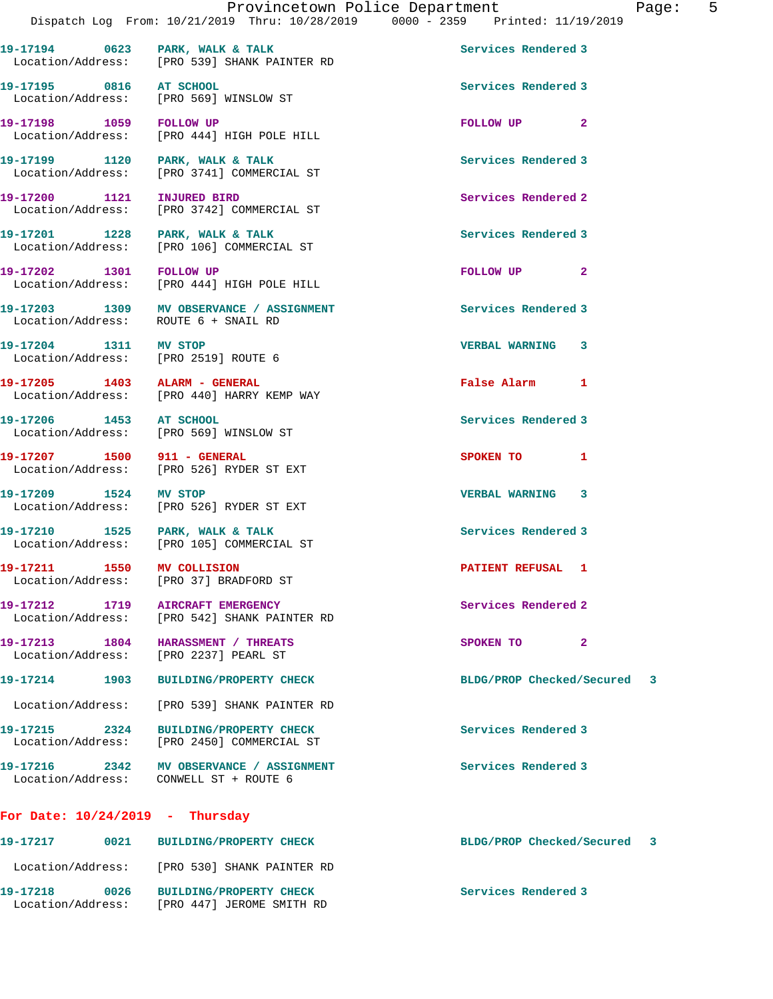19-17194 0623 PARK, WALK & TALK **Services Rendered 3**  Location/Address: [PRO 539] SHANK PAINTER RD **19-17195 0816 AT SCHOOL Services Rendered 3**  Location/Address: [PRO 569] WINSLOW ST **19-17198 1059 FOLLOW UP FOLLOW UP 2**  Location/Address: [PRO 444] HIGH POLE HILL 19-17199 1120 PARK, WALK & TALK 1998 1999 Services Rendered 3 Location/Address: [PRO 3741] COMMERCIAL ST **19-17200 1121 INJURED BIRD Services Rendered 2**  Location/Address: [PRO 3742] COMMERCIAL ST 19-17201 1228 PARK, WALK & TALK **Services Rendered 3**  Location/Address: [PRO 106] COMMERCIAL ST **19-17202 1301 FOLLOW UP FOLLOW UP 2**  Location/Address: [PRO 444] HIGH POLE HILL **19-17203 1309 MV OBSERVANCE / ASSIGNMENT Services Rendered 3**  Location/Address: ROUTE 6 + SNAIL RD **19-17204 1311 MV STOP VERBAL WARNING 3**  Location/Address: [PRO 2519] ROUTE 6 **19-17205 1403 ALARM - GENERAL False Alarm 1**  Location/Address: [PRO 440] HARRY KEMP WAY **19-17206 1453 AT SCHOOL Services Rendered 3**  Location/Address: [PRO 569] WINSLOW ST **19-17207 1500 911 - GENERAL SPOKEN TO 1**  Location/Address: [PRO 526] RYDER ST EXT **19-17209 1524 MV STOP VERBAL WARNING 3**  Location/Address: [PRO 526] RYDER ST EXT 19-17210 1525 PARK, WALK & TALK **Services Rendered 3**  Location/Address: [PRO 105] COMMERCIAL ST **19-17211 1550 MV COLLISION PATIENT REFUSAL 1**  Location/Address: [PRO 37] BRADFORD ST **19-17212 1719 AIRCRAFT EMERGENCY Services Rendered 2**  Location/Address: [PRO 542] SHANK PAINTER RD **19-17213 1804 HARASSMENT / THREATS SPOKEN TO 2**  Location/Address: [PRO 2237] PEARL ST **19-17214 1903 BUILDING/PROPERTY CHECK BLDG/PROP Checked/Secured 3** Location/Address: [PRO 539] SHANK PAINTER RD **19-17215 2324 BUILDING/PROPERTY CHECK Services Rendered 3**  Location/Address: [PRO 2450] COMMERCIAL ST **19-17216 2342 MV OBSERVANCE / ASSIGNMENT Services Rendered 3**  Location/Address: CONWELL ST + ROUTE 6 **For Date: 10/24/2019 - Thursday**

## **19-17217 0021 BUILDING/PROPERTY CHECK BLDG/PROP Checked/Secured 3** Location/Address: [PRO 530] SHANK PAINTER RD **19-17218 0026 BUILDING/PROPERTY CHECK Services Rendered 3**  Location/Address: [PRO 447] JEROME SMITH RD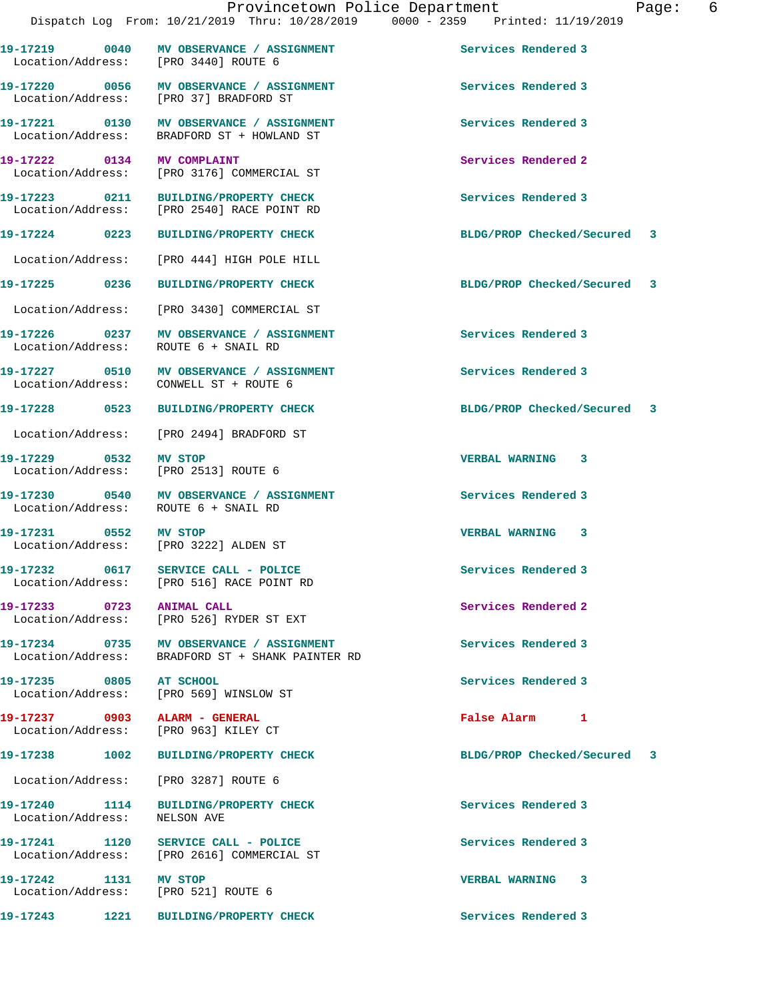**19-17219 0040 MV OBSERVANCE / ASSIGNMENT Services Rendered 3** 

| daqe |  |
|------|--|
|------|--|

19-17220 0056 MV OBSERVANCE / ASSIGNMENT **Services Rendered 3**  Location/Address: [PRO 37] BRADFORD ST **19-17221 0130 MV OBSERVANCE / ASSIGNMENT Services Rendered 3**  Location/Address: BRADFORD ST + HOWLAND ST **19-17222 0134 MV COMPLAINT Services Rendered 2**  [PRO 3176] COMMERCIAL ST **19-17223 0211 BUILDING/PROPERTY CHECK Services Rendered 3**  Location/Address: [PRO 2540] RACE POINT RD **19-17224 0223 BUILDING/PROPERTY CHECK BLDG/PROP Checked/Secured 3** Location/Address: [PRO 444] HIGH POLE HILL **19-17225 0236 BUILDING/PROPERTY CHECK BLDG/PROP Checked/Secured 3**

Location/Address: [PRO 3440] ROUTE 6

Location/Address: [PRO 2513] ROUTE 6

**19-17237 0903 ALARM - GENERAL False Alarm 1** 

Location/Address: [PRO 3287] ROUTE 6

Location/Address: NELSON AVE

**19-17242 1131 MV STOP VERBAL WARNING 3**  Location/Address: [PRO 521] ROUTE 6

**19-17228 0523 BUILDING/PROPERTY CHECK BLDG/PROP Checked/Secured 3**

**19-17229 0532 MV STOP VERBAL WARNING 3** 

**19-17238 1002 BUILDING/PROPERTY CHECK BLDG/PROP Checked/Secured 3**

Location/Address: [PRO 3430] COMMERCIAL ST

**19-17226 0237 MV OBSERVANCE / ASSIGNMENT Services Rendered 3**  Location/Address: ROUTE 6 + SNAIL RD

**19-17227 0510 MV OBSERVANCE / ASSIGNMENT Services Rendered 3**  Location/Address: CONWELL ST + ROUTE 6

Location/Address: [PRO 2494] BRADFORD ST

**19-17230 0540 MV OBSERVANCE / ASSIGNMENT Services Rendered 3**  Location/Address: ROUTE 6 + SNAIL RD

**19-17231 0552 MV STOP VERBAL WARNING 3**  Location/Address: [PRO 3222] ALDEN ST

**19-17232 0617 SERVICE CALL - POLICE Services Rendered 3**  Location/Address: [PRO 516] RACE POINT RD

19-17233 **0723** ANIMAL CALL **CALL Services Rendered 2** Location/Address: [PRO 526] RYDER ST EXT

**19-17234 0735 MV OBSERVANCE / ASSIGNMENT Services Rendered 3**  Location/Address: BRADFORD ST + SHANK PAINTER RD

**19-17235 0805 AT SCHOOL Services Rendered 3**  Location/Address: [PRO 569] WINSLOW ST

Location/Address: [PRO 963] KILEY CT

**19-17240 1114 BUILDING/PROPERTY CHECK Services Rendered 3** 

**19-17241 1120 SERVICE CALL - POLICE Services Rendered 3**  Location/Address: [PRO 2616] COMMERCIAL ST

**19-17243 1221 BUILDING/PROPERTY CHECK Services Rendered 3**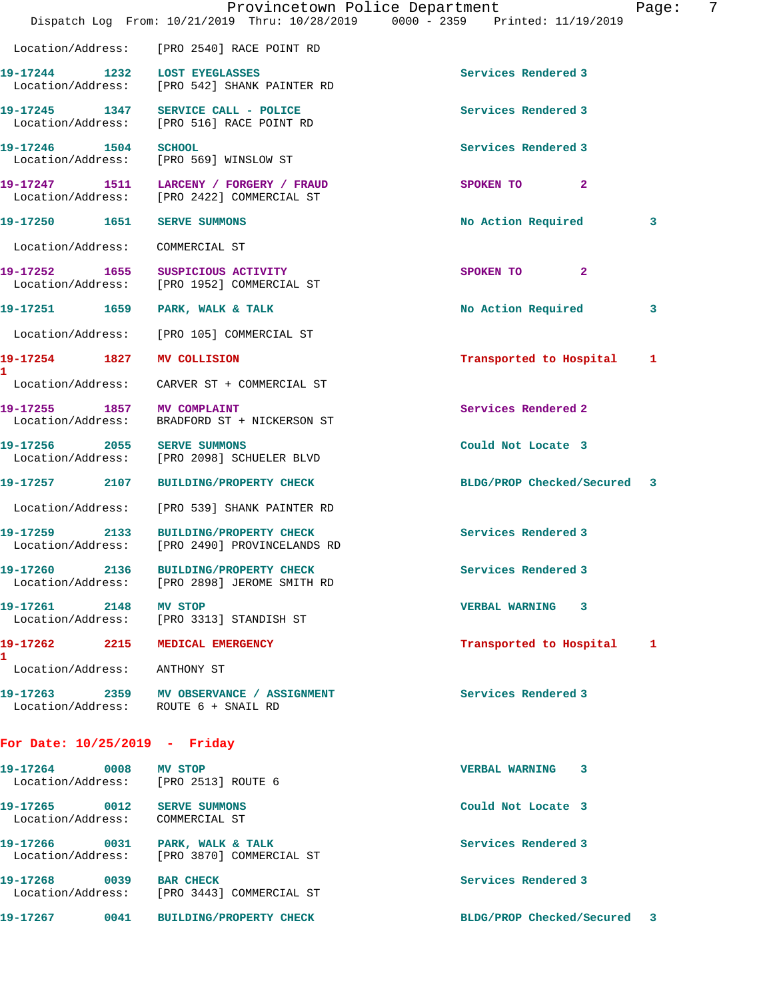|                                                                | Provincetown Police Department<br>Dispatch Log From: 10/21/2019 Thru: 10/28/2019 0000 - 2359 Printed: 11/19/2019 |                             | 7<br>Page: |
|----------------------------------------------------------------|------------------------------------------------------------------------------------------------------------------|-----------------------------|------------|
|                                                                | Location/Address: [PRO 2540] RACE POINT RD                                                                       |                             |            |
|                                                                | 19-17244 1232 LOST EYEGLASSES<br>Location/Address: [PRO 542] SHANK PAINTER RD                                    | Services Rendered 3         |            |
|                                                                | 19-17245 1347 SERVICE CALL - POLICE<br>Location/Address: [PRO 516] RACE POINT RD                                 | Services Rendered 3         |            |
| 19-17246 1504 SCHOOL                                           | Location/Address: [PRO 569] WINSLOW ST                                                                           | Services Rendered 3         |            |
|                                                                | 19-17247 1511 LARCENY / FORGERY / FRAUD<br>Location/Address: [PRO 2422] COMMERCIAL ST                            | SPOKEN TO<br>-2             |            |
| 19-17250    1651    SERVE SUMMONS                              |                                                                                                                  | No Action Required          | 3          |
| Location/Address:                                              | COMMERCIAL ST                                                                                                    |                             |            |
|                                                                | 19-17252 1655 SUSPICIOUS ACTIVITY<br>Location/Address: [PRO 1952] COMMERCIAL ST                                  | SPOKEN TO<br>$\mathbf{2}$   |            |
| 19-17251 1659                                                  | PARK, WALK & TALK                                                                                                | No Action Required          | 3          |
| Location/Address:                                              | [PRO 105] COMMERCIAL ST                                                                                          |                             |            |
| 19-17254 1827 MV COLLISION                                     |                                                                                                                  | Transported to Hospital     | 1          |
|                                                                | Location/Address: CARVER ST + COMMERCIAL ST                                                                      |                             |            |
| 19-17255 1857 MV COMPLAINT                                     | Location/Address: BRADFORD ST + NICKERSON ST                                                                     | Services Rendered 2         |            |
| 19-17256 2055                                                  | <b>SERVE SUMMONS</b><br>Location/Address: [PRO 2098] SCHUELER BLVD                                               | Could Not Locate 3          |            |
|                                                                | 19-17257 2107 BUILDING/PROPERTY CHECK                                                                            | BLDG/PROP Checked/Secured 3 |            |
|                                                                | Location/Address: [PRO 539] SHANK PAINTER RD                                                                     |                             |            |
|                                                                | 19-17259 2133 BUILDING/PROPERTY CHECK<br>Location/Address: [PRO 2490] PROVINCELANDS RD                           | Services Rendered 3         |            |
|                                                                | 19-17260 2136 BUILDING/PROPERTY CHECK<br>Location/Address: [PRO 2898] JEROME SMITH RD                            | Services Rendered 3         |            |
| 19-17261 2148 MV STOP                                          | Location/Address: [PRO 3313] STANDISH ST                                                                         | VERBAL WARNING 3            |            |
|                                                                | 19-17262 2215 MEDICAL EMERGENCY                                                                                  | Transported to Hospital 1   |            |
| Location/Address: ANTHONY ST                                   |                                                                                                                  |                             |            |
|                                                                | 19-17263 2359 MV OBSERVANCE / ASSIGNMENT<br>Location/Address: ROUTE 6 + SNAIL RD                                 | Services Rendered 3         |            |
| For Date: $10/25/2019$ - Friday                                |                                                                                                                  |                             |            |
| 19-17264 0008 MV STOP                                          | Location/Address: [PRO 2513] ROUTE 6                                                                             | VERBAL WARNING 3            |            |
| 19-17265 0012 SERVE SUMMONS<br>Location/Address: COMMERCIAL ST |                                                                                                                  | Could Not Locate 3          |            |
|                                                                | 19-17266 0031 PARK, WALK & TALK<br>Location/Address: [PRO 3870] COMMERCIAL ST                                    | Services Rendered 3         |            |
| 19-17268 0039 BAR CHECK                                        | Location/Address: [PRO 3443] COMMERCIAL ST                                                                       | Services Rendered 3         |            |
|                                                                | 19-17267 0041 BUILDING/PROPERTY CHECK                                                                            | BLDG/PROP Checked/Secured 3 |            |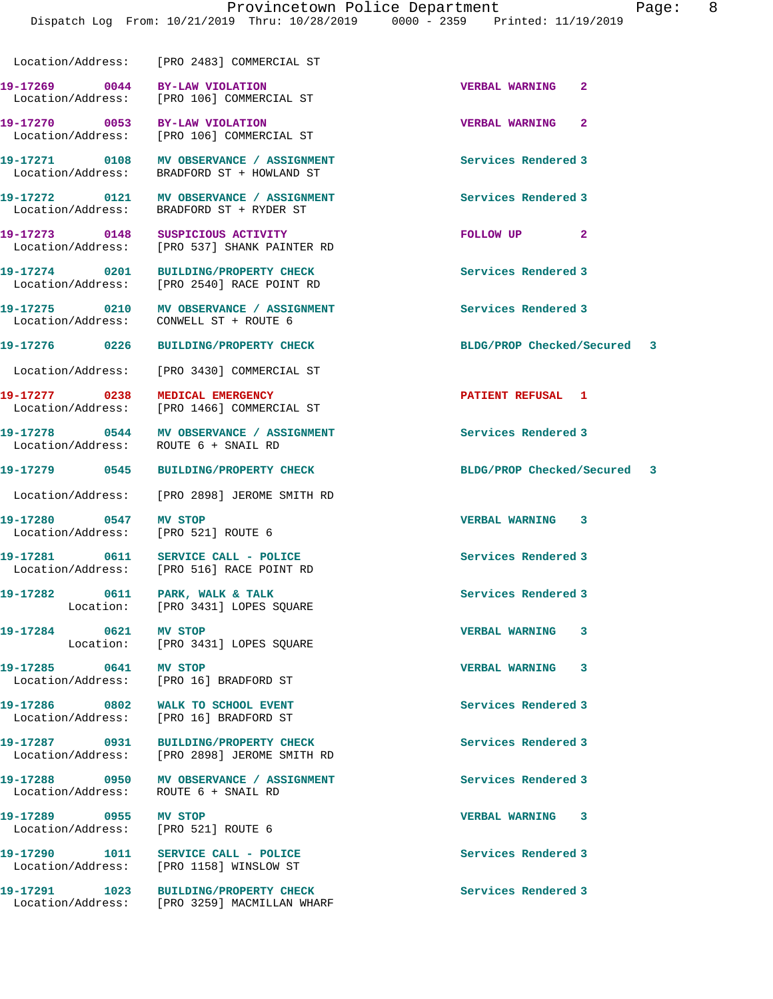Location/Address: [PRO 2483] COMMERCIAL ST

**19-17269 0044 BY-LAW VIOLATION VERBAL WARNING 2**  Location/Address: [PRO 106] COMMERCIAL ST

**19-17271 0108 MV OBSERVANCE / ASSIGNMENT Services Rendered 3** 

Location/Address: ROUTE 6 + SNAIL RD

**19-17280 0547 MV STOP VERBAL WARNING 3** 

**19-17285 0641 MV STOP VERBAL WARNING 3** 

Location/Address:

**19-17289 0955 MV STOP VERBAL WARNING 3**  Location/Address: [PRO 521] ROUTE 6

Location/Address: [PRO 1158] WINSLOW ST

**19-17270 0053 BY-LAW VIOLATION VERBAL WARNING 2**  Location/Address: [PRO 106] COMMERCIAL ST

BRADFORD ST + HOWLAND ST

**19-17272 0121 MV OBSERVANCE / ASSIGNMENT Services Rendered 3**  Location/Address: BRADFORD ST + RYDER ST

**19-17273 0148 SUSPICIOUS ACTIVITY FOLLOW UP 2**  Location/Address: [PRO 537] SHANK PAINTER RD

**19-17274 0201 BUILDING/PROPERTY CHECK Services Rendered 3**  Location/Address: [PRO 2540] RACE POINT RD

**19-17275 0210 MV OBSERVANCE / ASSIGNMENT Services Rendered 3**  Location/Address: CONWELL ST + ROUTE 6

Location/Address: [PRO 3430] COMMERCIAL ST

**19-17277 0238 MEDICAL EMERGENCY PATIENT REFUSAL 1**  Location/Address: [PRO 1466] COMMERCIAL ST

19-17278 0544 MV OBSERVANCE / ASSIGNMENT **Services Rendered 3** 

Location/Address: [PRO 2898] JEROME SMITH RD

Location/Address: [PRO 521] ROUTE 6

**19-17281 0611 SERVICE CALL - POLICE Services Rendered 3**  Location/Address: [PRO 516] RACE POINT RD

19-17282 0611 PARK, WALK & TALK **Services Rendered 3** Location: [PRO 3431] LOPES SQUARE

**19-17284 0621 MV STOP VERBAL WARNING 3**  Location: [PRO 3431] LOPES SOUARE

Location/Address: [PRO 16] BRADFORD ST

**19-17286 0802 WALK TO SCHOOL EVENT Services Rendered 3**  Location/Address: [PRO 16] BRADFORD ST

**19-17287 0931 BUILDING/PROPERTY CHECK Services Rendered 3**  Location/Address: [PRO 2898] JEROME SMITH RD

19-17288 0950 MV OBSERVANCE / ASSIGNMENT **Services Rendered 3 Internal Services** Rendered 3

**19-17290 1011 SERVICE CALL - POLICE Services Rendered 3** 

**19-17291 1023 BUILDING/PROPERTY CHECK Services Rendered 3**  Location/Address: [PRO 3259] MACMILLAN WHARF

**19-17276 0226 BUILDING/PROPERTY CHECK BLDG/PROP Checked/Secured 3**

**19-17279 0545 BUILDING/PROPERTY CHECK BLDG/PROP Checked/Secured 3**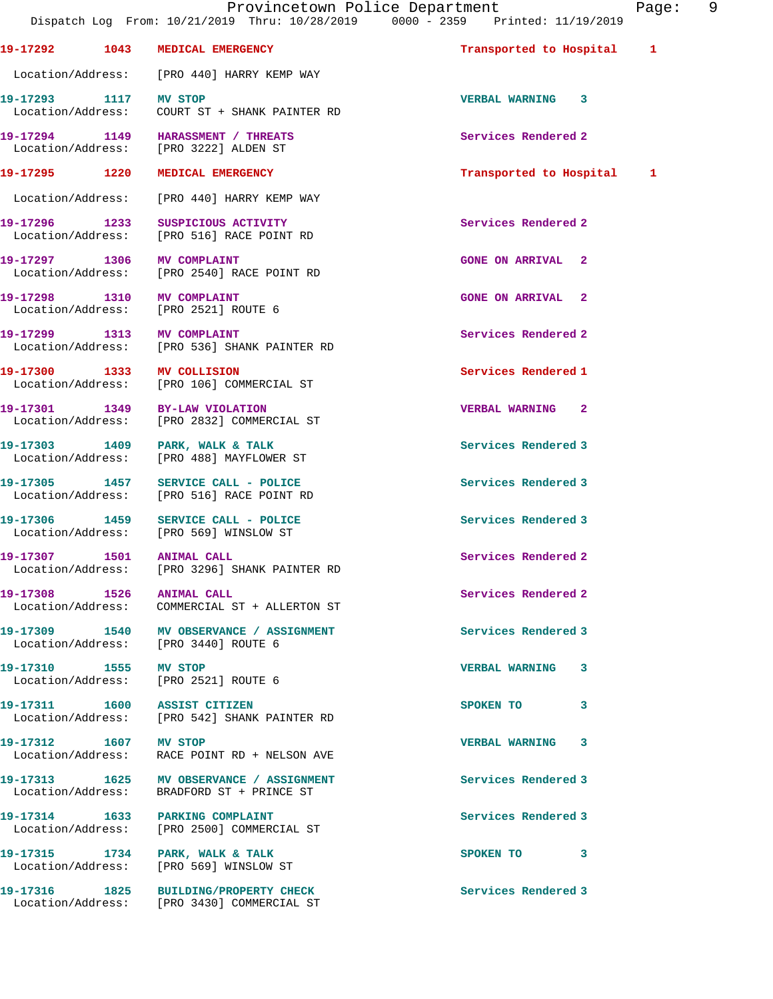**19-17292 1043 MEDICAL EMERGENCY Transported to Hospital 1** Location/Address: [PRO 440] HARRY KEMP WAY **19-17293 1117 MV STOP VERBAL WARNING 3**  Location/Address: COURT ST + SHANK PAINTER RD **19-17294 1149 HARASSMENT / THREATS Services Rendered 2**  Location/Address: [PRO 3222] ALDEN ST **19-17295 1220 MEDICAL EMERGENCY Transported to Hospital 1** Location/Address: [PRO 440] HARRY KEMP WAY **19-17296 1233 SUSPICIOUS ACTIVITY Services Rendered 2**  Location/Address: [PRO 516] RACE POINT RD **19-17297 1306 MV COMPLAINT GONE ON ARRIVAL 2**  Location/Address: [PRO 2540] RACE POINT RD **19-17298 1310 MV COMPLAINT GONE ON ARRIVAL 2**  Location/Address: [PRO 2521] ROUTE 6 **19-17299 1313 MV COMPLAINT Services Rendered 2**  Location/Address: [PRO 536] SHANK PAINTER RD **19-17300 1333 MV COLLISION Services Rendered 1 Services Rendered 1 I** bocation/Address: [PRO 106] COMMERCIAL ST [PRO 106] COMMERCIAL ST **19-17301 1349 BY-LAW VIOLATION VERBAL WARNING 2**  Location/Address: [PRO 2832] COMMERCIAL ST 19-17303 1409 PARK, WALK & TALK **Services Rendered 3**  Location/Address: [PRO 488] MAYFLOWER ST **19-17305 1457 SERVICE CALL - POLICE Services Rendered 3**  Location/Address: [PRO 516] RACE POINT RD **19-17306 1459 SERVICE CALL - POLICE Services Rendered 3**  [PRO 569] WINSLOW ST **19-17307 1501 ANIMAL CALL Services Rendered 2**  Location/Address: [PRO 3296] SHANK PAINTER RD 19-17308 1526 ANIMAL CALL **19-17308** Services Rendered 2 Location/Address: COMMERCIAL ST + ALLERTON ST **19-17309 1540 MV OBSERVANCE / ASSIGNMENT Services Rendered 3**  Location/Address: [PRO 3440] ROUTE 6 **19-17310 1555 MV STOP VERBAL WARNING 3**  Location/Address: [PRO 2521] ROUTE 6 **19-17311 1600 ASSIST CITIZEN SPOKEN TO 3**  Location/Address: [PRO 542] SHANK PAINTER RD **19-17312 1607 MV STOP VERBAL WARNING 3**  Location/Address: RACE POINT RD + NELSON AVE 19-17313 1625 MV OBSERVANCE / ASSIGNMENT **Services Rendered 3**  Location/Address: BRADFORD ST + PRINCE ST **19-17314 1633 PARKING COMPLAINT Services Rendered 3**  Location/Address: [PRO 2500] COMMERCIAL ST 19-17315 1734 PARK, WALK & TALK **SPOKEN TO** 3 Location/Address: [PRO 569] WINSLOW ST **19-17316 1825 BUILDING/PROPERTY CHECK Services Rendered 3**  Location/Address: [PRO 3430] COMMERCIAL ST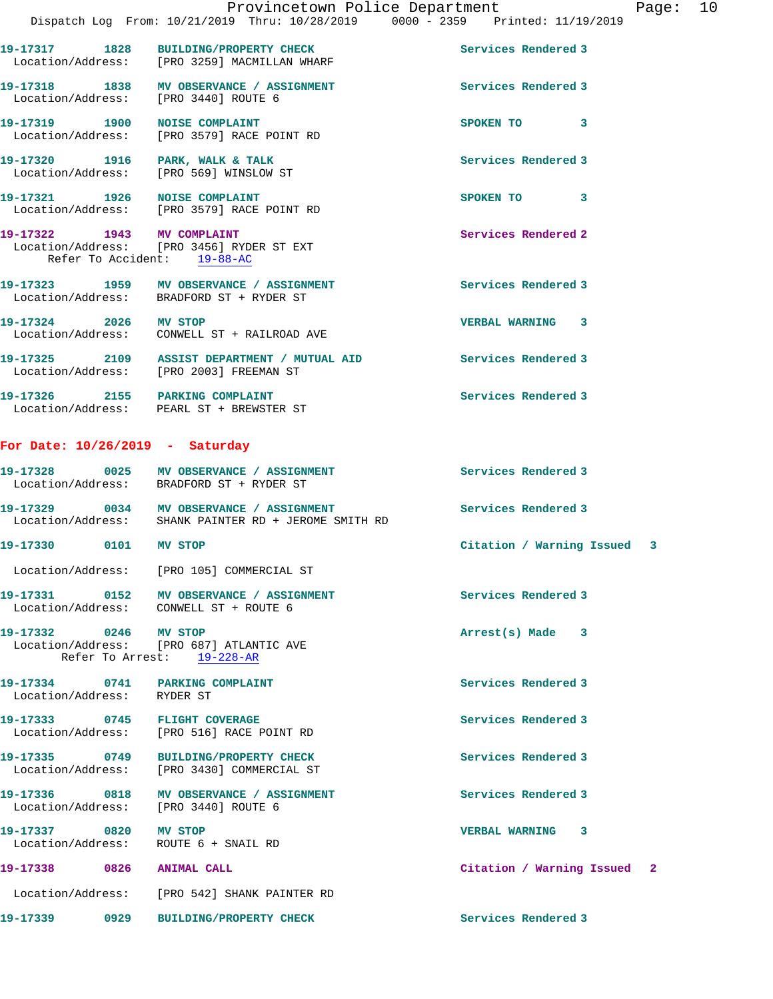Dispatch Log From: 10/21/2019 Thru: 10/28/2019 0000 - 2359 Printed: 11/19/2019 **19-17317 1828 BUILDING/PROPERTY CHECK Services Rendered 3**  Location/Address: [PRO 3259] MACMILLAN WHARF 19-17318 1838 MV OBSERVANCE / ASSIGNMENT **Services Rendered 3**  Location/Address: [PRO 3440] ROUTE 6 **19-17319 1900 NOISE COMPLAINT SPOKEN TO 3**  Location/Address: [PRO 3579] RACE POINT RD 19-17320 1916 PARK, WALK & TALK **Services Rendered 3**  Location/Address: [PRO 569] WINSLOW ST **19-17321 1926 NOISE COMPLAINT SPOKEN TO 3**  Location/Address: [PRO 3579] RACE POINT RD 19-17322 1943 MV COMPLAINT **1998** Services Rendered 2 Location/Address: [PRO 3456] RYDER ST EXT Refer To Accident: 19-88-AC **19-17323 1959 MV OBSERVANCE / ASSIGNMENT Services Rendered 3**  Location/Address: BRADFORD ST + RYDER ST **19-17324 2026 MV STOP VERBAL WARNING 3**  Location/Address: CONWELL ST + RAILROAD AVE **19-17325 2109 ASSIST DEPARTMENT / MUTUAL AID Services Rendered 3**  Location/Address: [PRO 2003] FREEMAN ST **19-17326 2155 PARKING COMPLAINT Services Rendered 3**  Location/Address: PEARL ST + BREWSTER ST **For Date: 10/26/2019 - Saturday 19-17328 0025 MV OBSERVANCE / ASSIGNMENT Services Rendered 3**  Location/Address: BRADFORD ST + RYDER ST **19-17329 0034 MV OBSERVANCE / ASSIGNMENT Services Rendered 3**  Location/Address: SHANK PAINTER RD + JEROME SMITH RD **19-17330 0101 MV STOP Citation / Warning Issued 3** Location/Address: [PRO 105] COMMERCIAL ST **19-17331 0152 MV OBSERVANCE / ASSIGNMENT Services Rendered 3**  Location/Address: CONWELL ST + ROUTE 6 **19-17332 0246 MV STOP Arrest(s) Made 3**  Location/Address: [PRO 687] ATLANTIC AVE Refer To Arrest: 19-228-AR **19-17334 0741 PARKING COMPLAINT Services Rendered 3**  Location/Address: RYDER ST

**19-17333 0745 FLIGHT COVERAGE Services Rendered 3**  Location/Address: [PRO 516] RACE POINT RD

**19-17335 0749 BUILDING/PROPERTY CHECK Services Rendered 3**  Location/Address: [PRO 3430] COMMERCIAL ST

19-17336 0818 MV OBSERVANCE / ASSIGNMENT **Services Rendered 3** Location/Address: [PRO 3440] ROUTE 6

**19-17337 0820 MV STOP VERBAL WARNING 3**  Location/Address: ROUTE 6 + SNAIL RD

**19-17338 0826 ANIMAL CALL Citation / Warning Issued 2** Location/Address: [PRO 542] SHANK PAINTER RD

**19-17339 0929 BUILDING/PROPERTY CHECK Services Rendered 3**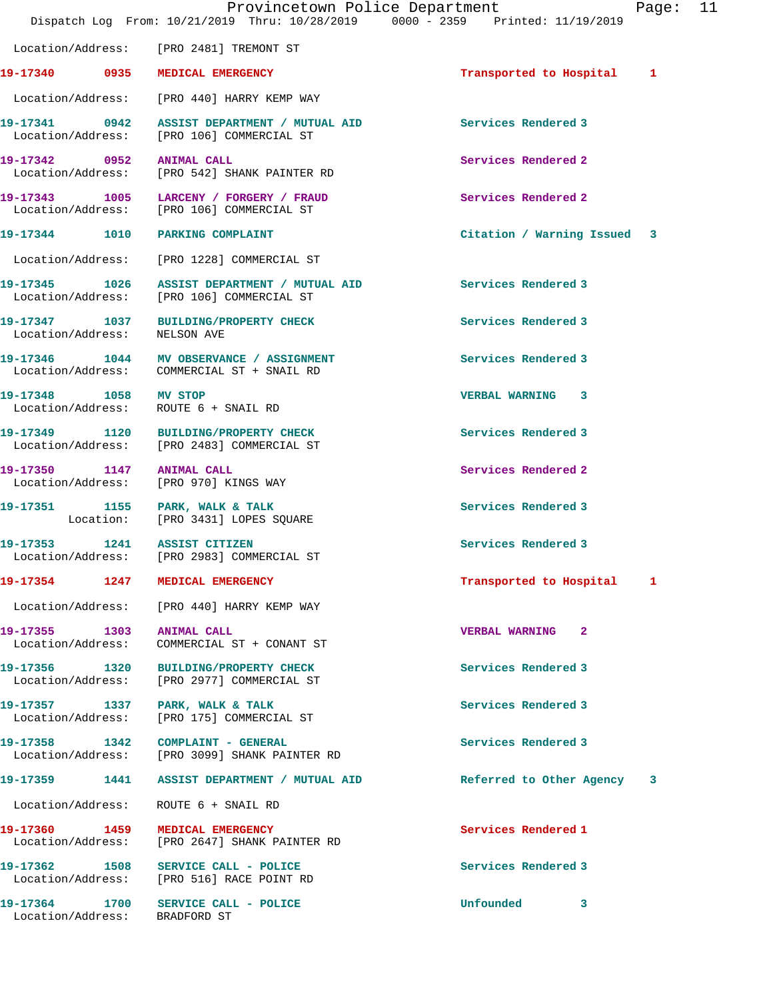|                                    | Dispatch Log From: 10/21/2019 Thru: 10/28/2019 0000 - 2359 Printed: 11/19/2019            | Provincetown Police Department | Page: | 11 |
|------------------------------------|-------------------------------------------------------------------------------------------|--------------------------------|-------|----|
|                                    | Location/Address: [PRO 2481] TREMONT ST                                                   |                                |       |    |
|                                    | 19-17340 0935 MEDICAL EMERGENCY                                                           | Transported to Hospital 1      |       |    |
|                                    | Location/Address: [PRO 440] HARRY KEMP WAY                                                |                                |       |    |
|                                    | 19-17341 0942 ASSIST DEPARTMENT / MUTUAL AID<br>Location/Address: [PRO 106] COMMERCIAL ST | Services Rendered 3            |       |    |
| 19-17342 0952 ANIMAL CALL          | Location/Address: [PRO 542] SHANK PAINTER RD                                              | Services Rendered 2            |       |    |
|                                    | 19-17343 1005 LARCENY / FORGERY / FRAUD<br>Location/Address: [PRO 106] COMMERCIAL ST      | Services Rendered 2            |       |    |
|                                    | 19-17344 1010 PARKING COMPLAINT                                                           | Citation / Warning Issued 3    |       |    |
|                                    | Location/Address: [PRO 1228] COMMERCIAL ST                                                |                                |       |    |
|                                    | 19-17345 1026 ASSIST DEPARTMENT / MUTUAL AID<br>Location/Address: [PRO 106] COMMERCIAL ST | Services Rendered 3            |       |    |
| Location/Address:                  | 19-17347 1037 BUILDING/PROPERTY CHECK<br>NELSON AVE                                       | Services Rendered 3            |       |    |
|                                    | 19-17346 1044 MV OBSERVANCE / ASSIGNMENT<br>Location/Address: COMMERCIAL ST + SNAIL RD    | Services Rendered 3            |       |    |
| 19-17348 1058 MV STOP              | Location/Address: ROUTE 6 + SNAIL RD                                                      | VERBAL WARNING 3               |       |    |
|                                    | 19-17349 1120 BUILDING/PROPERTY CHECK<br>Location/Address: [PRO 2483] COMMERCIAL ST       | Services Rendered 3            |       |    |
| 19-17350 1147 ANIMAL CALL          | Location/Address: [PRO 970] KINGS WAY                                                     | Services Rendered 2            |       |    |
|                                    | 19-17351 1155 PARK, WALK & TALK<br>Location: [PRO 3431] LOPES SQUARE                      | Services Rendered 3            |       |    |
| 19-17353 1241 ASSIST CITIZEN       | Location/Address: [PRO 2983] COMMERCIAL ST                                                | Services Rendered 3            |       |    |
| 19-17354                           | 1247 MEDICAL EMERGENCY                                                                    | Transported to Hospital        | -1    |    |
|                                    | Location/Address: [PRO 440] HARRY KEMP WAY                                                |                                |       |    |
| 19-17355 1303<br>Location/Address: | <b>ANIMAL CALL</b><br>COMMERCIAL ST + CONANT ST                                           | <b>VERBAL WARNING 2</b>        |       |    |
| 19-17356 1320<br>Location/Address: | <b>BUILDING/PROPERTY CHECK</b><br>[PRO 2977] COMMERCIAL ST                                | Services Rendered 3            |       |    |
| Location/Address:                  | 19-17357 1337 PARK, WALK & TALK<br>[PRO 175] COMMERCIAL ST                                | Services Rendered 3            |       |    |
|                                    | 19-17358 1342 COMPLAINT - GENERAL<br>Location/Address: [PRO 3099] SHANK PAINTER RD        | Services Rendered 3            |       |    |
| 19-17359<br>1441                   | ASSIST DEPARTMENT / MUTUAL AID                                                            | Referred to Other Agency       | 3     |    |
| Location/Address:                  | ROUTE 6 + SNAIL RD                                                                        |                                |       |    |
| 19-17360 1459<br>Location/Address: | MEDICAL EMERGENCY<br>[PRO 2647] SHANK PAINTER RD                                          | Services Rendered 1            |       |    |
|                                    | 19-17362 1508 SERVICE CALL - POLICE<br>Location/Address: [PRO 516] RACE POINT RD          | Services Rendered 3            |       |    |
| Location/Address: BRADFORD ST      | 19-17364 1700 SERVICE CALL - POLICE                                                       | <b>Unfounded</b><br>3          |       |    |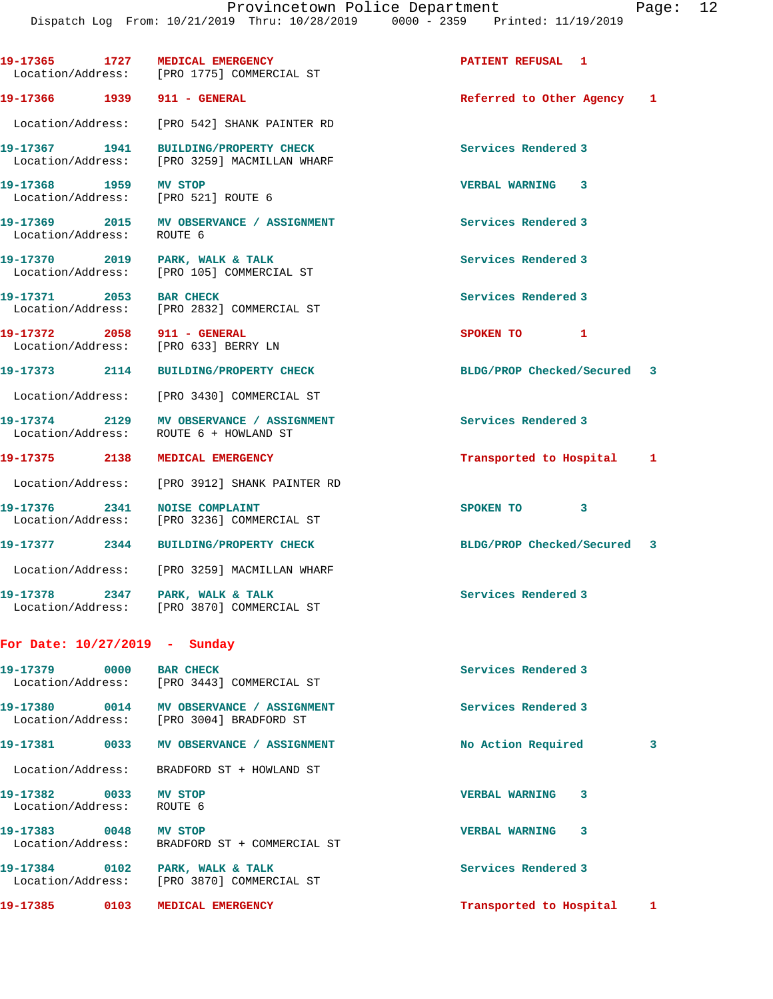|                                                    | 19-17365 1727 MEDICAL EMERGENCY<br>Location/Address: [PRO 1775] COMMERCIAL ST        | PATIENT REFUSAL 1           |   |
|----------------------------------------------------|--------------------------------------------------------------------------------------|-----------------------------|---|
| 19-17366 1939 911 - GENERAL                        |                                                                                      | Referred to Other Agency 1  |   |
| Location/Address:                                  | [PRO 542] SHANK PAINTER RD                                                           |                             |   |
| 19-17367 1941<br>Location/Address:                 | BUILDING/PROPERTY CHECK<br>[PRO 3259] MACMILLAN WHARF                                | Services Rendered 3         |   |
| 19-17368 1959                                      | MV STOP<br>Location/Address: [PRO 521] ROUTE 6                                       | VERBAL WARNING 3            |   |
| Location/Address:                                  | 19-17369 2015 MV OBSERVANCE / ASSIGNMENT<br>ROUTE 6                                  | Services Rendered 3         |   |
| Location/Address:                                  | 19-17370 2019 PARK, WALK & TALK<br>[PRO 105] COMMERCIAL ST                           | Services Rendered 3         |   |
| 19-17371 2053                                      | <b>BAR CHECK</b><br>Location/Address: [PRO 2832] COMMERCIAL ST                       | Services Rendered 3         |   |
| 19-17372 2058 911 - GENERAL                        | Location/Address: [PRO 633] BERRY LN                                                 | SPOKEN TO 1                 |   |
| 19-17373 2114                                      | <b>BUILDING/PROPERTY CHECK</b>                                                       | BLDG/PROP Checked/Secured 3 |   |
| Location/Address:                                  | [PRO 3430] COMMERCIAL ST                                                             |                             |   |
| 19-17374 2129<br>Location/Address:                 | MV OBSERVANCE / ASSIGNMENT<br>ROUTE 6 + HOWLAND ST                                   | Services Rendered 3         |   |
| 19-17375 2138                                      | MEDICAL EMERGENCY                                                                    | Transported to Hospital 1   |   |
| Location/Address:                                  | [PRO 3912] SHANK PAINTER RD                                                          |                             |   |
| 19-17376 2341<br>Location/Address:                 | <b>NOISE COMPLAINT</b><br>[PRO 3236] COMMERCIAL ST                                   | SPOKEN TO 3                 |   |
| 19-17377 2344                                      | <b>BUILDING/PROPERTY CHECK</b>                                                       | BLDG/PROP Checked/Secured 3 |   |
|                                                    | Location/Address: [PRO 3259] MACMILLAN WHARF                                         |                             |   |
| Location/Address:                                  | 19-17378 2347 PARK, WALK & TALK<br>[PRO 3870] COMMERCIAL ST                          | Services Rendered 3         |   |
| For Date: 10/27/2019 - Sunday                      |                                                                                      |                             |   |
| 19-17379 0000 BAR CHECK                            | Location/Address: [PRO 3443] COMMERCIAL ST                                           | Services Rendered 3         |   |
|                                                    | 19-17380 0014 MV OBSERVANCE / ASSIGNMENT<br>Location/Address: [PRO 3004] BRADFORD ST | Services Rendered 3         |   |
|                                                    | 19-17381 0033 MV OBSERVANCE / ASSIGNMENT                                             | No Action Required          | 3 |
| Location/Address:                                  | BRADFORD ST + HOWLAND ST                                                             |                             |   |
| 19-17382 0033 MV STOP<br>Location/Address: ROUTE 6 |                                                                                      | <b>VERBAL WARNING</b><br>3  |   |
| 19-17383 0048 MV STOP                              | Location/Address: BRADFORD ST + COMMERCIAL ST                                        | <b>VERBAL WARNING</b><br>3  |   |
|                                                    | 19-17384 0102 PARK, WALK & TALK<br>Location/Address: [PRO 3870] COMMERCIAL ST        | Services Rendered 3         |   |
| 19-17385 0103                                      | MEDICAL EMERGENCY                                                                    | Transported to Hospital 1   |   |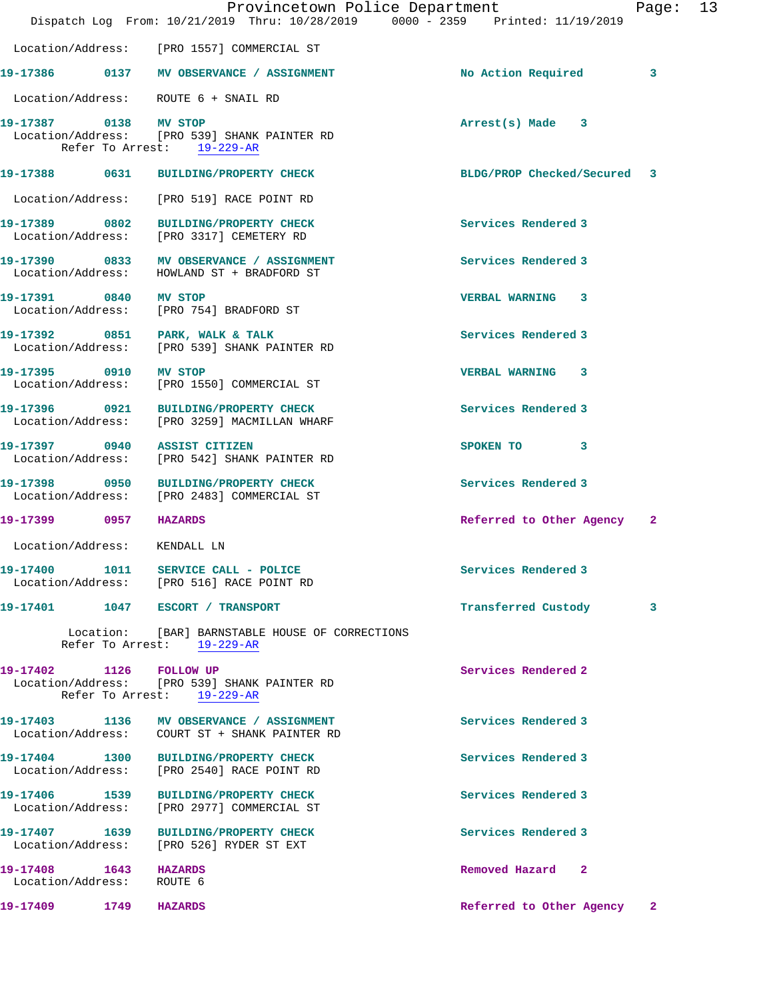|                                                | Provincetown Police Department<br>Dispatch Log From: 10/21/2019 Thru: 10/28/2019 0000 - 2359 Printed: 11/19/2019 |                             | Page: 13     |  |
|------------------------------------------------|------------------------------------------------------------------------------------------------------------------|-----------------------------|--------------|--|
|                                                | Location/Address: [PRO 1557] COMMERCIAL ST                                                                       |                             |              |  |
|                                                | 19-17386 0137 MV OBSERVANCE / ASSIGNMENT                                                                         | No Action Required          | 3            |  |
|                                                | Location/Address: ROUTE 6 + SNAIL RD                                                                             |                             |              |  |
| 19-17387 0138 MV STOP                          | Location/Address: [PRO 539] SHANK PAINTER RD<br>Refer To Arrest: 19-229-AR                                       | $Arrest(s)$ Made $3$        |              |  |
|                                                | 19-17388 0631 BUILDING/PROPERTY CHECK                                                                            | BLDG/PROP Checked/Secured 3 |              |  |
|                                                | Location/Address: [PRO 519] RACE POINT RD                                                                        |                             |              |  |
|                                                | 19-17389 0802 BUILDING/PROPERTY CHECK<br>Location/Address: [PRO 3317] CEMETERY RD                                | Services Rendered 3         |              |  |
|                                                | 19-17390 0833 MV OBSERVANCE / ASSIGNMENT<br>Location/Address: HOWLAND ST + BRADFORD ST                           | Services Rendered 3         |              |  |
| 19-17391 0840 MV STOP                          | Location/Address: [PRO 754] BRADFORD ST                                                                          | VERBAL WARNING 3            |              |  |
|                                                | 19-17392 0851 PARK, WALK & TALK<br>Location/Address: [PRO 539] SHANK PAINTER RD                                  | Services Rendered 3         |              |  |
| 19-17395 0910 MV STOP                          | Location/Address: [PRO 1550] COMMERCIAL ST                                                                       | <b>VERBAL WARNING 3</b>     |              |  |
|                                                | 19-17396 0921 BUILDING/PROPERTY CHECK<br>Location/Address: [PRO 3259] MACMILLAN WHARF                            | Services Rendered 3         |              |  |
|                                                | 19-17397 0940 ASSIST CITIZEN<br>Location/Address: [PRO 542] SHANK PAINTER RD                                     | SPOKEN TO 3                 |              |  |
|                                                | 19-17398 0950 BUILDING/PROPERTY CHECK<br>Location/Address: [PRO 2483] COMMERCIAL ST                              | Services Rendered 3         |              |  |
| 19-17399 0957 HAZARDS                          |                                                                                                                  | Referred to Other Agency 2  |              |  |
| Location/Address: KENDALL LN                   |                                                                                                                  |                             |              |  |
|                                                | 19-17400 1011 SERVICE CALL - POLICE<br>Location/Address: [PRO 516] RACE POINT RD                                 | Services Rendered 3         |              |  |
|                                                | 19-17401   1047   ESCORT / TRANSPORT                                                                             | Transferred Custody         | 3            |  |
|                                                | Location: [BAR] BARNSTABLE HOUSE OF CORRECTIONS<br>Refer To Arrest: 19-229-AR                                    |                             |              |  |
| 19-17402 1126 FOLLOW UP                        | Location/Address: [PRO 539] SHANK PAINTER RD<br>Refer To Arrest: 19-229-AR                                       | Services Rendered 2         |              |  |
|                                                | 19-17403 1136 MV OBSERVANCE / ASSIGNMENT                                                                         | Services Rendered 3         |              |  |
|                                                | 19-17404 1300 BUILDING/PROPERTY CHECK<br>Location/Address: [PRO 2540] RACE POINT RD                              | Services Rendered 3         |              |  |
| 19-17406 1539                                  | BUILDING/PROPERTY CHECK<br>Location/Address: [PRO 2977] COMMERCIAL ST                                            | Services Rendered 3         |              |  |
| 19-17407 1639<br>Location/Address:             | <b>BUILDING/PROPERTY CHECK</b><br>[PRO 526] RYDER ST EXT                                                         | Services Rendered 3         |              |  |
| 19-17408   1643   HAZARDS<br>Location/Address: | ROUTE 6                                                                                                          | Removed Hazard 2            |              |  |
| 19-17409 1749                                  | <b>HAZARDS</b>                                                                                                   | Referred to Other Agency    | $\mathbf{2}$ |  |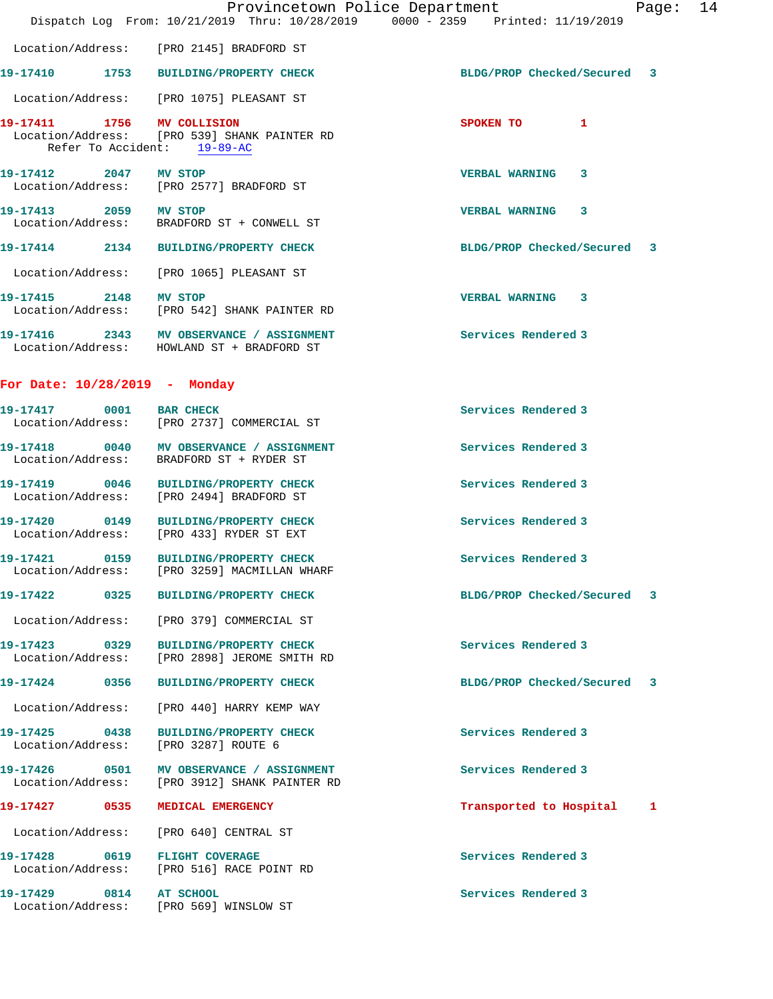|                               | Provincetown Police Department<br>Dispatch Log From: 10/21/2019 Thru: 10/28/2019 0000 - 2359 Printed: 11/19/2019 |                             | Page: 14 |  |
|-------------------------------|------------------------------------------------------------------------------------------------------------------|-----------------------------|----------|--|
|                               | Location/Address: [PRO 2145] BRADFORD ST                                                                         |                             |          |  |
|                               | 19-17410 1753 BUILDING/PROPERTY CHECK                                                                            | BLDG/PROP Checked/Secured 3 |          |  |
|                               | Location/Address: [PRO 1075] PLEASANT ST                                                                         |                             |          |  |
|                               | 19-17411 1756 MV COLLISION<br>Location/Address: [PRO 539] SHANK PAINTER RD<br>Refer To Accident: 19-89-AC        | SPOKEN TO<br>$\mathbf{1}$   |          |  |
| 19-17412 2047 MV STOP         | Location/Address: [PRO 2577] BRADFORD ST                                                                         | <b>VERBAL WARNING 3</b>     |          |  |
| 19-17413 2059 MV STOP         | Location/Address: BRADFORD ST + CONWELL ST                                                                       | <b>VERBAL WARNING 3</b>     |          |  |
|                               | 19-17414 2134 BUILDING/PROPERTY CHECK                                                                            | BLDG/PROP Checked/Secured 3 |          |  |
|                               | Location/Address: [PRO 1065] PLEASANT ST                                                                         |                             |          |  |
| 19-17415 2148 MV STOP         | Location/Address: [PRO 542] SHANK PAINTER RD                                                                     | VERBAL WARNING 3            |          |  |
|                               | 19-17416 2343 MV OBSERVANCE / ASSIGNMENT<br>Location/Address: HOWLAND ST + BRADFORD ST                           | Services Rendered 3         |          |  |
| For Date: 10/28/2019 - Monday |                                                                                                                  |                             |          |  |
| 19-17417 0001 BAR CHECK       | Location/Address: [PRO 2737] COMMERCIAL ST                                                                       | Services Rendered 3         |          |  |
|                               | 19-17418 0040 MV OBSERVANCE / ASSIGNMENT<br>Location/Address: BRADFORD ST + RYDER ST                             | Services Rendered 3         |          |  |
|                               | 19-17419 0046 BUILDING/PROPERTY CHECK<br>Location/Address: [PRO 2494] BRADFORD ST                                | Services Rendered 3         |          |  |
|                               | 19-17420 0149 BUILDING/PROPERTY CHECK<br>Location/Address: [PRO 433] RYDER ST EXT                                | Services Rendered 3         |          |  |
| Location/Address:             | 19-17421 0159 BUILDING/PROPERTY CHECK<br>[PRO 3259] MACMILLAN WHARF                                              | Services Rendered 3         |          |  |
|                               | 19-17422 0325 BUILDING/PROPERTY CHECK                                                                            | BLDG/PROP Checked/Secured 3 |          |  |
|                               | Location/Address: [PRO 379] COMMERCIAL ST                                                                        |                             |          |  |
| 19-17423 0329                 | <b>BUILDING/PROPERTY CHECK</b><br>Location/Address: [PRO 2898] JEROME SMITH RD                                   | Services Rendered 3         |          |  |
|                               | 19-17424 0356 BUILDING/PROPERTY CHECK                                                                            | BLDG/PROP Checked/Secured 3 |          |  |
| Location/Address:             | [PRO 440] HARRY KEMP WAY                                                                                         |                             |          |  |
| 19-17425 0438                 | <b>BUILDING/PROPERTY CHECK</b><br>Location/Address: [PRO 3287] ROUTE 6                                           | Services Rendered 3         |          |  |
|                               | 19-17426 0501 MV OBSERVANCE / ASSIGNMENT<br>Location/Address: [PRO 3912] SHANK PAINTER RD                        | Services Rendered 3         |          |  |
| 19-17427 0535                 | MEDICAL EMERGENCY                                                                                                | Transported to Hospital     | 1        |  |
|                               | Location/Address: [PRO 640] CENTRAL ST                                                                           |                             |          |  |
|                               | 19-17428 0619 FLIGHT COVERAGE<br>Location/Address: [PRO 516] RACE POINT RD                                       | Services Rendered 3         |          |  |
| 19-17429 0814 AT SCHOOL       | Location/Address: [PRO 569] WINSLOW ST                                                                           | Services Rendered 3         |          |  |